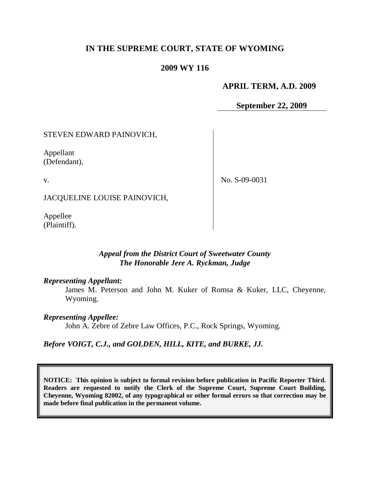# **IN THE SUPREME COURT, STATE OF WYOMING**

# **2009 WY 116**

### **APRIL TERM, A.D. 2009**

**September 22, 2009**

# STEVEN EDWARD PAINOVICH,

Appellant (Defendant),

v.

No. S-09-0031

JACQUELINE LOUISE PAINOVICH,

Appellee (Plaintiff).

# *Appeal from the District Court of Sweetwater County The Honorable Jere A. Ryckman, Judge*

#### *Representing Appellant:*

James M. Peterson and John M. Kuker of Romsa & Kuker, LLC, Cheyenne, Wyoming.

#### *Representing Appellee:*

John A. Zebre of Zebre Law Offices, P.C., Rock Springs, Wyoming.

*Before VOIGT, C.J., and GOLDEN, HILL, KITE, and BURKE, JJ.*

**NOTICE: This opinion is subject to formal revision before publication in Pacific Reporter Third. Readers are requested to notify the Clerk of the Supreme Court, Supreme Court Building, Cheyenne, Wyoming 82002, of any typographical or other formal errors so that correction may be made before final publication in the permanent volume.**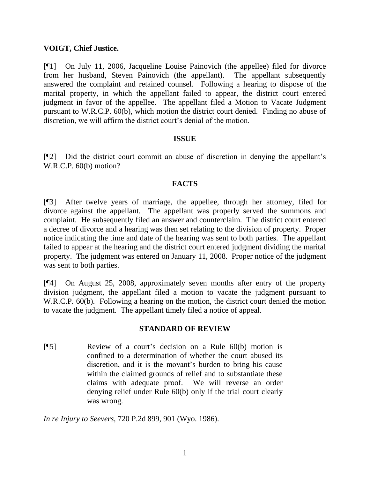# **VOIGT, Chief Justice.**

[¶1] On July 11, 2006, Jacqueline Louise Painovich (the appellee) filed for divorce from her husband, Steven Painovich (the appellant). The appellant subsequently answered the complaint and retained counsel. Following a hearing to dispose of the marital property, in which the appellant failed to appear, the district court entered judgment in favor of the appellee. The appellant filed a Motion to Vacate Judgment pursuant to W.R.C.P. 60(b), which motion the district court denied. Finding no abuse of discretion, we will affirm the district court's denial of the motion.

#### **ISSUE**

[¶2] Did the district court commit an abuse of discretion in denying the appellant"s W.R.C.P. 60(b) motion?

# **FACTS**

[¶3] After twelve years of marriage, the appellee, through her attorney, filed for divorce against the appellant. The appellant was properly served the summons and complaint. He subsequently filed an answer and counterclaim. The district court entered a decree of divorce and a hearing was then set relating to the division of property. Proper notice indicating the time and date of the hearing was sent to both parties. The appellant failed to appear at the hearing and the district court entered judgment dividing the marital property. The judgment was entered on January 11, 2008. Proper notice of the judgment was sent to both parties.

[¶4] On August 25, 2008, approximately seven months after entry of the property division judgment, the appellant filed a motion to vacate the judgment pursuant to W.R.C.P. 60(b). Following a hearing on the motion, the district court denied the motion to vacate the judgment. The appellant timely filed a notice of appeal.

#### **STANDARD OF REVIEW**

[¶5] Review of a court"s decision on a Rule 60(b) motion is confined to a determination of whether the court abused its discretion, and it is the movant's burden to bring his cause within the claimed grounds of relief and to substantiate these claims with adequate proof. We will reverse an order denying relief under Rule 60(b) only if the trial court clearly was wrong.

*In re Injury to Seevers*, 720 P.2d 899, 901 (Wyo. 1986).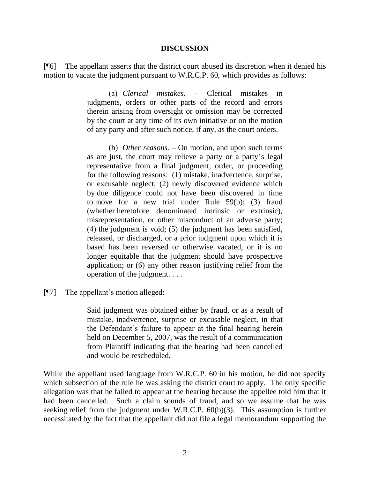#### **DISCUSSION**

[¶6] The appellant asserts that the district court abused its discretion when it denied his motion to vacate the judgment pursuant to W.R.C.P. 60, which provides as follows:

> (a) *Clerical mistakes.* – Clerical mistakes in judgments, orders or other parts of the record and errors therein arising from oversight or omission may be corrected by the court at any time of its own initiative or on the motion of any party and after such notice, if any, as the court orders.

> (b) *Other reasons.* – On motion, and upon such terms as are just, the court may relieve a party or a party"s legal representative from a final judgment, order, or proceeding for the following reasons: (1) mistake, inadvertence, surprise, or excusable neglect; (2) newly discovered evidence which by due diligence could not have been discovered in time to move for a new trial under Rule 59(b); (3) fraud (whether heretofore denominated intrinsic or extrinsic), misrepresentation, or other misconduct of an adverse party; (4) the judgment is void; (5) the judgment has been satisfied, released, or discharged, or a prior judgment upon which it is based has been reversed or otherwise vacated, or it is no longer equitable that the judgment should have prospective application; or (6) any other reason justifying relief from the operation of the judgment. . . .

[¶7] The appellant"s motion alleged:

Said judgment was obtained either by fraud, or as a result of mistake, inadvertence, surprise or excusable neglect, in that the Defendant"s failure to appear at the final hearing herein held on December 5, 2007, was the result of a communication from Plaintiff indicating that the hearing had been cancelled and would be rescheduled.

While the appellant used language from W.R.C.P. 60 in his motion, he did not specify which subsection of the rule he was asking the district court to apply. The only specific allegation was that he failed to appear at the hearing because the appellee told him that it had been cancelled. Such a claim sounds of fraud, and so we assume that he was seeking relief from the judgment under W.R.C.P. 60(b)(3). This assumption is further necessitated by the fact that the appellant did not file a legal memorandum supporting the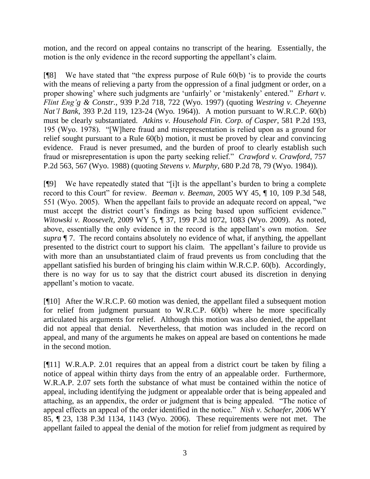motion, and the record on appeal contains no transcript of the hearing. Essentially, the motion is the only evidence in the record supporting the appellant's claim.

[¶8] We have stated that "the express purpose of Rule 60(b) "is to provide the courts with the means of relieving a party from the oppression of a final judgment or order, on a proper showing' where such judgments are 'unfairly' or 'mistakenly' entered." *Erhart v. Flint Eng'g & Constr.*, 939 P.2d 718, 722 (Wyo. 1997) (quoting *Westring v. Cheyenne Nat'l Bank*, 393 P.2d 119, 123-24 (Wyo. 1964)). A motion pursuant to W.R.C.P. 60(b) must be clearly substantiated. *Atkins v. Household Fin. Corp. of Casper*, 581 P.2d 193, 195 (Wyo. 1978). "[W]here fraud and misrepresentation is relied upon as a ground for relief sought pursuant to a Rule 60(b) motion, it must be proved by clear and convincing evidence. Fraud is never presumed, and the burden of proof to clearly establish such fraud or misrepresentation is upon the party seeking relief." *Crawford v. Crawford*, 757 P.2d 563, 567 (Wyo. 1988) (quoting *Stevens v. Murphy*, 680 P.2d 78, 79 (Wyo. 1984)).

[¶9] We have repeatedly stated that "[i]t is the appellant"s burden to bring a complete record to this Court" for review. *Beeman v. Beeman*, 2005 WY 45, ¶ 10, 109 P.3d 548, 551 (Wyo. 2005). When the appellant fails to provide an adequate record on appeal, "we must accept the district court's findings as being based upon sufficient evidence." *Witowski v. Roosevelt*, 2009 WY 5, ¶ 37, 199 P.3d 1072, 1083 (Wyo. 2009). As noted, above, essentially the only evidence in the record is the appellant's own motion. *See supra* ¶ 7. The record contains absolutely no evidence of what, if anything, the appellant presented to the district court to support his claim. The appellant"s failure to provide us with more than an unsubstantiated claim of fraud prevents us from concluding that the appellant satisfied his burden of bringing his claim within W.R.C.P. 60(b). Accordingly, there is no way for us to say that the district court abused its discretion in denying appellant"s motion to vacate.

[¶10] After the W.R.C.P. 60 motion was denied, the appellant filed a subsequent motion for relief from judgment pursuant to W.R.C.P. 60(b) where he more specifically articulated his arguments for relief. Although this motion was also denied, the appellant did not appeal that denial. Nevertheless, that motion was included in the record on appeal, and many of the arguments he makes on appeal are based on contentions he made in the second motion.

[¶11] W.R.A.P. 2.01 requires that an appeal from a district court be taken by filing a notice of appeal within thirty days from the entry of an appealable order. Furthermore, W.R.A.P. 2.07 sets forth the substance of what must be contained within the notice of appeal, including identifying the judgment or appealable order that is being appealed and attaching, as an appendix, the order or judgment that is being appealed. "The notice of appeal effects an appeal of the order identified in the notice." *Nish v. Schaefer*, 2006 WY 85, ¶ 23, 138 P.3d 1134, 1143 (Wyo. 2006). These requirements were not met. The appellant failed to appeal the denial of the motion for relief from judgment as required by